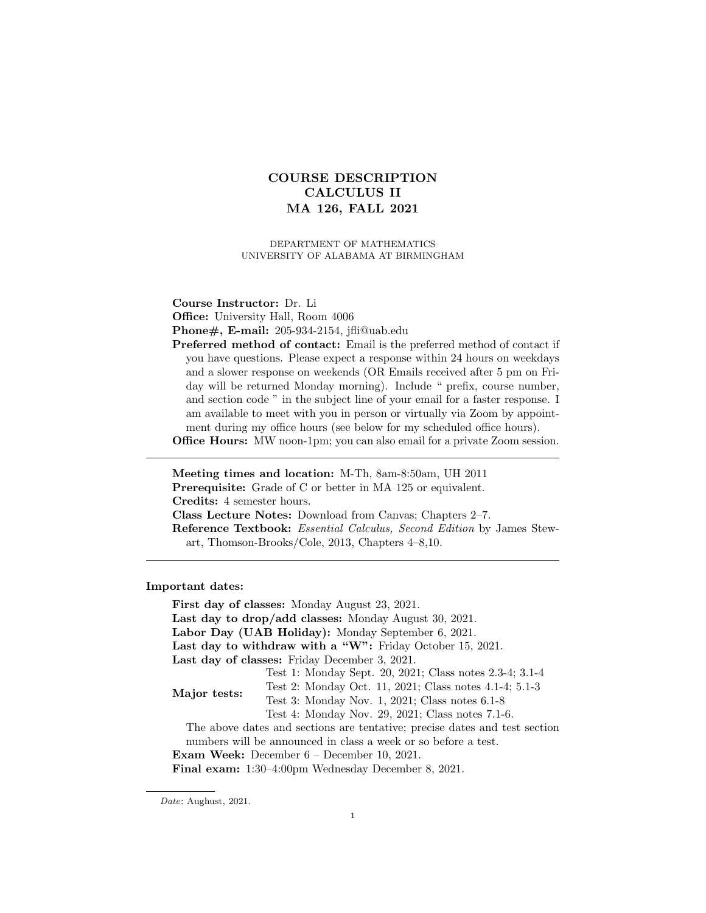# COURSE DESCRIPTION CALCULUS II MA 126, FALL 2021

DEPARTMENT OF MATHEMATICS UNIVERSITY OF ALABAMA AT BIRMINGHAM

Course Instructor: Dr. Li

Office: University Hall, Room 4006

Phone#, E-mail: 205-934-2154, jfli@uab.edu

Preferred method of contact: Email is the preferred method of contact if you have questions. Please expect a response within 24 hours on weekdays and a slower response on weekends (OR Emails received after 5 pm on Friday will be returned Monday morning). Include " prefix, course number, and section code " in the subject line of your email for a faster response. I am available to meet with you in person or virtually via Zoom by appointment during my office hours (see below for my scheduled office hours).

Office Hours: MW noon-1pm; you can also email for a private Zoom session.

Meeting times and location: M-Th, 8am-8:50am, UH 2011 Prerequisite: Grade of C or better in MA 125 or equivalent. Credits: 4 semester hours. Class Lecture Notes: Download from Canvas; Chapters 2–7. Reference Textbook: Essential Calculus, Second Edition by James Stewart, Thomson-Brooks/Cole, 2013, Chapters 4–8,10.

Important dates:

First day of classes: Monday August 23, 2021. Last day to drop/add classes: Monday August 30, 2021. Labor Day (UAB Holiday): Monday September 6, 2021. Last day to withdraw with a "W": Friday October 15, 2021. Last day of classes: Friday December 3, 2021. Major tests: Test 1: Monday Sept. 20, 2021; Class notes 2.3-4; 3.1-4 Test 2: Monday Oct. 11, 2021; Class notes 4.1-4; 5.1-3 Test 3: Monday Nov. 1, 2021; Class notes 6.1-8 Test 4: Monday Nov. 29, 2021; Class notes 7.1-6. The above dates and sections are tentative; precise dates and test section numbers will be announced in class a week or so before a test. Exam Week: December 6 – December 10, 2021. Final exam: 1:30–4:00pm Wednesday December 8, 2021.

Date: Aughust, 2021.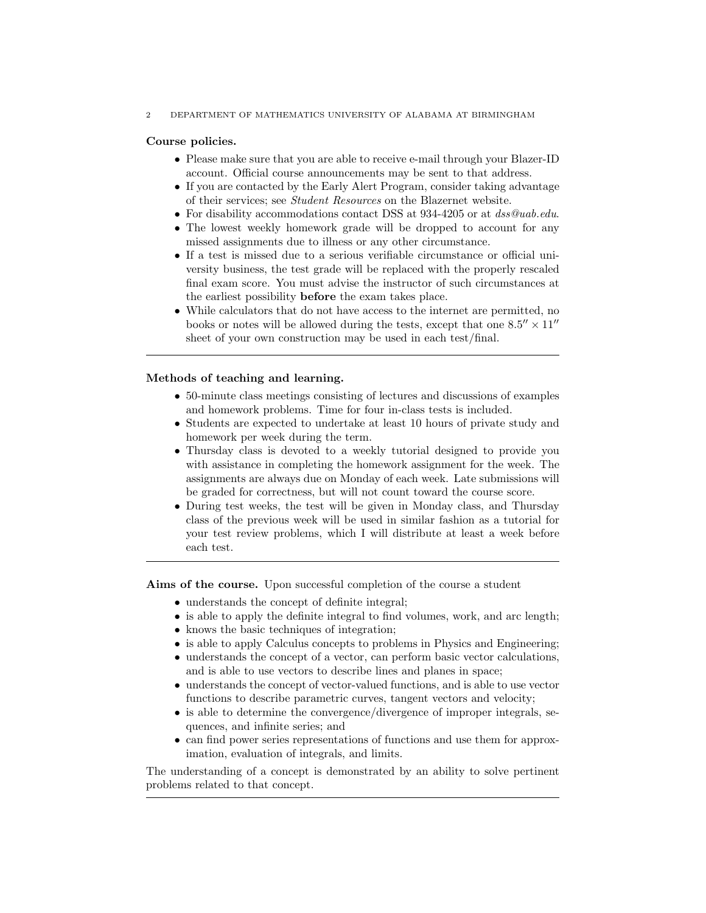#### 2 DEPARTMENT OF MATHEMATICS UNIVERSITY OF ALABAMA AT BIRMINGHAM

#### Course policies.

- Please make sure that you are able to receive e-mail through your Blazer-ID account. Official course announcements may be sent to that address.
- If you are contacted by the Early Alert Program, consider taking advantage of their services; see Student Resources on the Blazernet website.
- For disability accommodations contact DSS at 934-4205 or at dss@uab.edu.
- The lowest weekly homework grade will be dropped to account for any missed assignments due to illness or any other circumstance.
- If a test is missed due to a serious verifiable circumstance or official university business, the test grade will be replaced with the properly rescaled final exam score. You must advise the instructor of such circumstances at the earliest possibility before the exam takes place.
- While calculators that do not have access to the internet are permitted, no books or notes will be allowed during the tests, except that one  $8.5'' \times 11''$ sheet of your own construction may be used in each test/final.

# Methods of teaching and learning.

- 50-minute class meetings consisting of lectures and discussions of examples and homework problems. Time for four in-class tests is included.
- Students are expected to undertake at least 10 hours of private study and homework per week during the term.
- Thursday class is devoted to a weekly tutorial designed to provide you with assistance in completing the homework assignment for the week. The assignments are always due on Monday of each week. Late submissions will be graded for correctness, but will not count toward the course score.
- During test weeks, the test will be given in Monday class, and Thursday class of the previous week will be used in similar fashion as a tutorial for your test review problems, which I will distribute at least a week before each test.

Aims of the course. Upon successful completion of the course a student

- understands the concept of definite integral;
- is able to apply the definite integral to find volumes, work, and arc length;
- knows the basic techniques of integration;
- is able to apply Calculus concepts to problems in Physics and Engineering;
- understands the concept of a vector, can perform basic vector calculations, and is able to use vectors to describe lines and planes in space;
- understands the concept of vector-valued functions, and is able to use vector functions to describe parametric curves, tangent vectors and velocity;
- is able to determine the convergence/divergence of improper integrals, sequences, and infinite series; and
- can find power series representations of functions and use them for approximation, evaluation of integrals, and limits.

The understanding of a concept is demonstrated by an ability to solve pertinent problems related to that concept.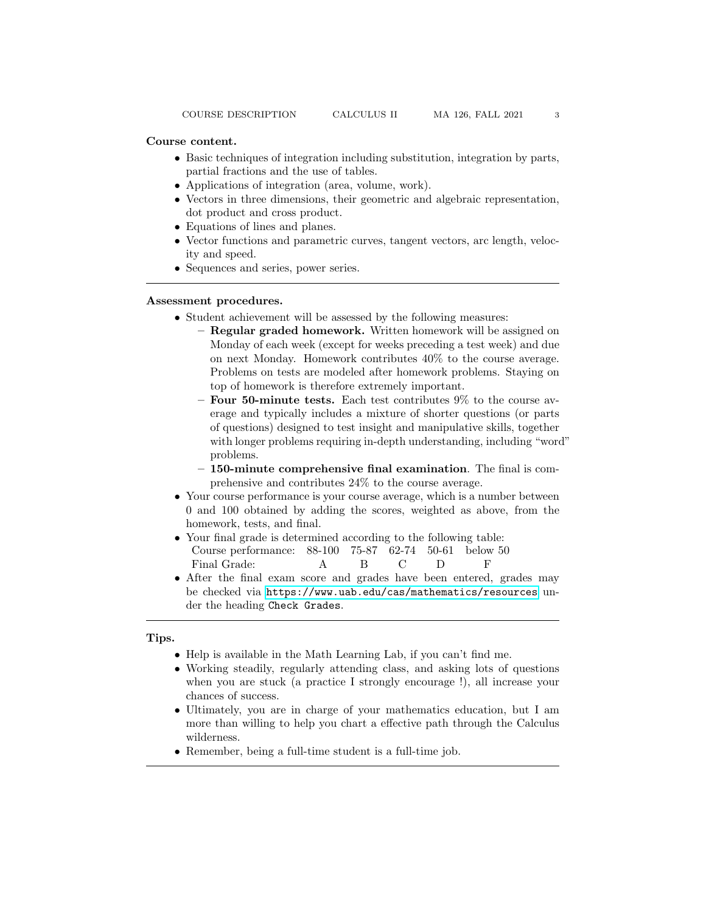- Basic techniques of integration including substitution, integration by parts, partial fractions and the use of tables.
- Applications of integration (area, volume, work).
- Vectors in three dimensions, their geometric and algebraic representation, dot product and cross product.
- Equations of lines and planes.
- Vector functions and parametric curves, tangent vectors, arc length, velocity and speed.
- Sequences and series, power series.

#### Assessment procedures.

- Student achievement will be assessed by the following measures:
	- Regular graded homework. Written homework will be assigned on Monday of each week (except for weeks preceding a test week) and due on next Monday. Homework contributes 40% to the course average. Problems on tests are modeled after homework problems. Staying on top of homework is therefore extremely important.
	- Four 50-minute tests. Each test contributes 9% to the course average and typically includes a mixture of shorter questions (or parts of questions) designed to test insight and manipulative skills, together with longer problems requiring in-depth understanding, including "word" problems.
	- 150-minute comprehensive final examination. The final is comprehensive and contributes 24% to the course average.
- Your course performance is your course average, which is a number between 0 and 100 obtained by adding the scores, weighted as above, from the homework, tests, and final.
- Your final grade is determined according to the following table: Course performance: 88-100 75-87 62-74 50-61 below 50 Final Grade: A B C D F
- After the final exam score and grades have been entered, grades may be checked via <https://www.uab.edu/cas/mathematics/resources> under the heading Check Grades.

# Tips.

- Help is available in the Math Learning Lab, if you can't find me.
- Working steadily, regularly attending class, and asking lots of questions when you are stuck (a practice I strongly encourage !), all increase your chances of success.
- Ultimately, you are in charge of your mathematics education, but I am more than willing to help you chart a effective path through the Calculus wilderness.
- Remember, being a full-time student is a full-time job.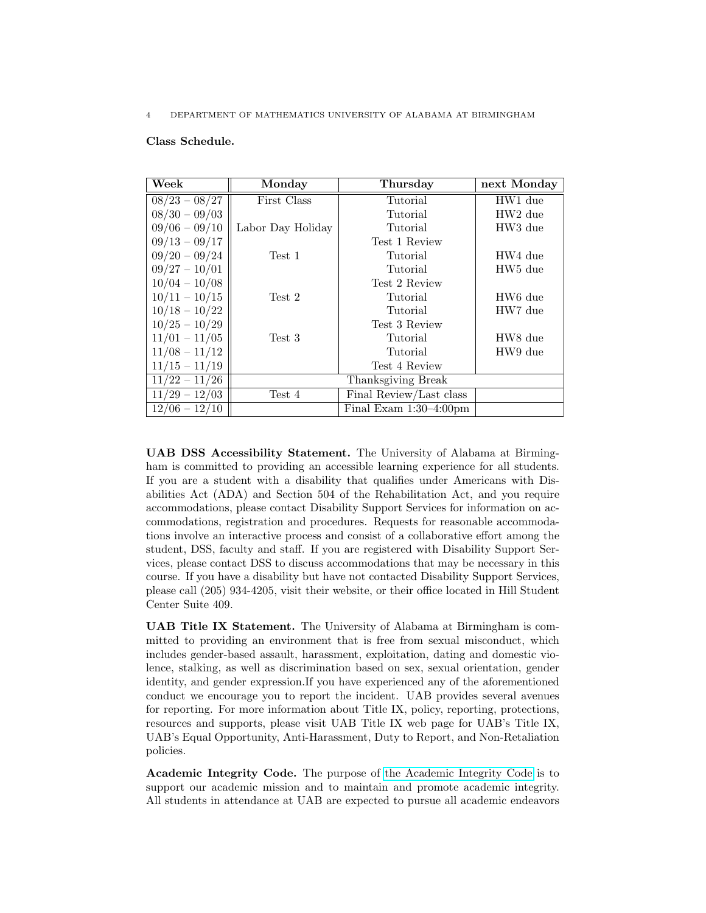# Class Schedule.

| Week            | Monday            | Thursday                  | next Monday         |
|-----------------|-------------------|---------------------------|---------------------|
| $08/23 - 08/27$ | First Class       | Tutorial                  | HW1 due             |
| $08/30 - 09/03$ |                   | Tutorial                  | HW <sub>2</sub> due |
| $09/06 - 09/10$ | Labor Day Holiday | Tutorial                  | HW3 due             |
| $09/13 - 09/17$ |                   | Test 1 Review             |                     |
| $09/20 - 09/24$ | Test 1            | Tutorial                  | HW4 due             |
| $09/27 - 10/01$ |                   | Tutorial                  | HW <sub>5</sub> due |
| $10/04 - 10/08$ |                   | Test 2 Review             |                     |
| $10/11 - 10/15$ | Test 2            | Tutorial                  | HW <sub>6</sub> due |
| $10/18 - 10/22$ |                   | Tutorial                  | HW7 due             |
| $10/25 - 10/29$ |                   | Test 3 Review             |                     |
| $11/01 - 11/05$ | Test 3            | Tutorial                  | HW8 due             |
| $11/08 - 11/12$ |                   | Tutorial                  | HW9 due             |
| $11/15 - 11/19$ |                   | Test 4 Review             |                     |
| $11/22 - 11/26$ |                   | Thanksgiving Break        |                     |
| $11/29 - 12/03$ | Test 4            | Final Review/Last class   |                     |
| $12/06 - 12/10$ |                   | Final Exam $1:30-4:00$ pm |                     |

UAB DSS Accessibility Statement. The University of Alabama at Birmingham is committed to providing an accessible learning experience for all students. If you are a student with a disability that qualifies under Americans with Disabilities Act (ADA) and Section 504 of the Rehabilitation Act, and you require accommodations, please contact Disability Support Services for information on accommodations, registration and procedures. Requests for reasonable accommodations involve an interactive process and consist of a collaborative effort among the student, DSS, faculty and staff. If you are registered with Disability Support Services, please contact DSS to discuss accommodations that may be necessary in this course. If you have a disability but have not contacted Disability Support Services, please call (205) 934-4205, visit their website, or their office located in Hill Student Center Suite 409.

UAB Title IX Statement. The University of Alabama at Birmingham is committed to providing an environment that is free from sexual misconduct, which includes gender-based assault, harassment, exploitation, dating and domestic violence, stalking, as well as discrimination based on sex, sexual orientation, gender identity, and gender expression.If you have experienced any of the aforementioned conduct we encourage you to report the incident. UAB provides several avenues for reporting. For more information about Title IX, policy, reporting, protections, resources and supports, please visit UAB Title IX web page for UAB's Title IX, UAB's Equal Opportunity, Anti-Harassment, Duty to Report, and Non-Retaliation policies.

Academic Integrity Code. The purpose of [the Academic Integrity Code](https://www.uab.edu/one-stop/policies/academic-integrity-code) is to support our academic mission and to maintain and promote academic integrity. All students in attendance at UAB are expected to pursue all academic endeavors